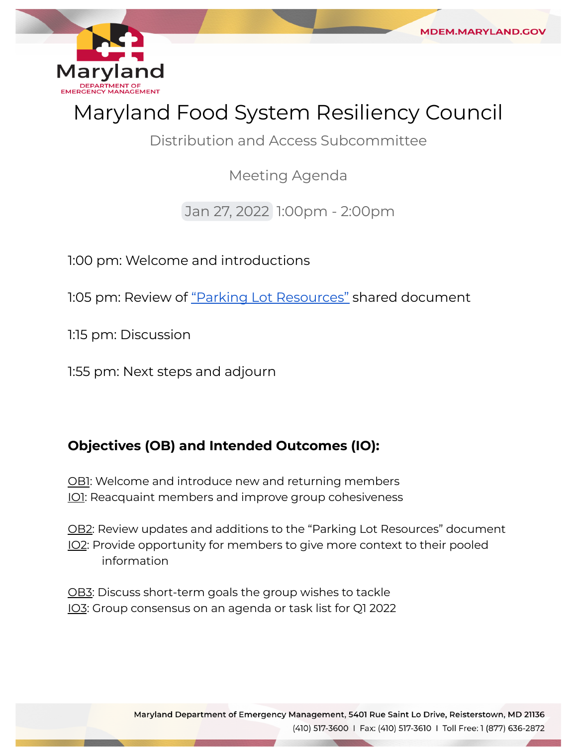

**MDEM.MARYLAND.GO** 

Distribution and Access Subcommittee

Meeting Agenda

Jan 27, 2022 1:00pm - 2:00pm

1:00 pm: Welcome and introductions

1:05 pm: Review of <u>["Parking Lot Resources"](https://www.dropbox.com/scl/fi/nfulruesc903nhdxwyn71/DA-Parking-Lot-Resources.paper?dl=0&rlkey=8x6v0fc93su91g5a9kl9d66qb)</u> shared document

1:15 pm: Discussion

1:55 pm: Next steps and adjourn

## **Objectives (OB) and Intended Outcomes (IO):**

<u>OB1</u>: Welcome and introduce new and returning members <u>IO1</u>: Reacquaint members and improve group cohesiveness

<u>OB2</u>: Review updates and additions to the "Parking Lot Resources" document IO2: Provide opportunity for members to give more context to their pooled information

<u>OB3</u>: Discuss short-term goals the group wishes to tackle IO3: Group consensus on an agenda or task list for Q1 2022